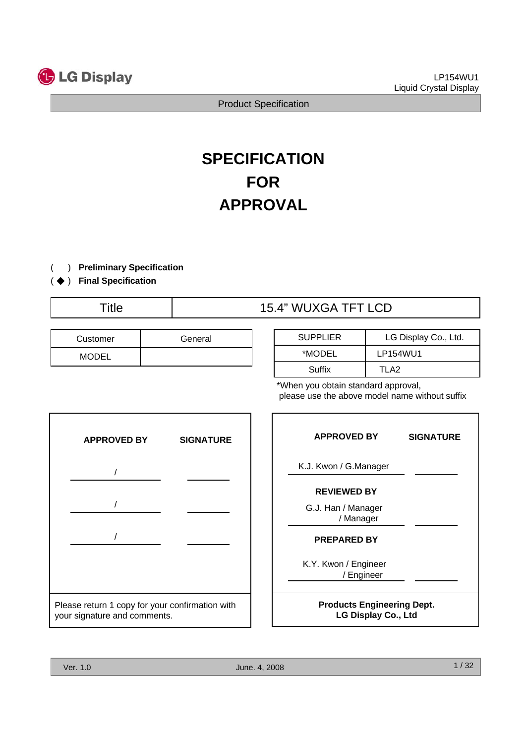

# **SPECIFICATION FOR APPROVAL**

- ) **Preliminary Specification** (
- (◆) Final Specification

# Title 15.4" WUXGA TFT LCD

| Customer     | General |  |  |  |  |
|--------------|---------|--|--|--|--|
| <b>MODEL</b> |         |  |  |  |  |

| <b>SUPPLIER</b> | LG Display Co., Ltd. |
|-----------------|----------------------|
| *MODEL          | LP154WU1             |
| Suffix          | TI A2                |

\*When you obtain standard approval, please use the above model name without suffix



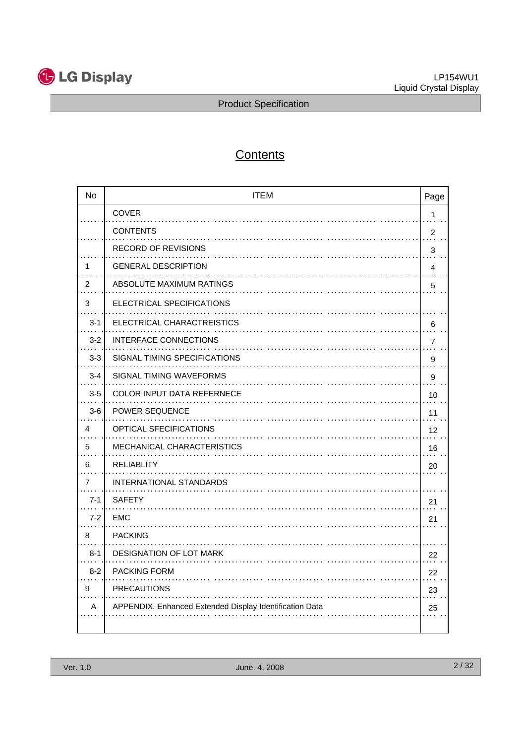

# **Contents**

| <b>No</b> | <b>ITEM</b>                                             | Page           |
|-----------|---------------------------------------------------------|----------------|
|           | <b>COVER</b>                                            | 1              |
|           | <b>CONTENTS</b>                                         | 2              |
|           | <b>RECORD OF REVISIONS</b>                              | 3              |
| 1         | <b>GENERAL DESCRIPTION</b>                              | 4              |
| 2         | ABSOLUTE MAXIMUM RATINGS                                | 5              |
| 3         | ELECTRICAL SPECIFICATIONS                               |                |
| $3 - 1$   | ELECTRICAL CHARACTREISTICS                              | 6              |
| $3 - 2$   | <b>INTERFACE CONNECTIONS</b>                            | $\overline{7}$ |
| $3 - 3$   | SIGNAL TIMING SPECIFICATIONS                            | 9              |
| $3 - 4$   | SIGNAL TIMING WAVEFORMS                                 | 9              |
| $3-5$     | <b>COLOR INPUT DATA REFERNECE</b>                       | 10             |
| $3-6$     | <b>POWER SEQUENCE</b>                                   | 11             |
| 4         | OPTICAL SFECIFICATIONS                                  | 12             |
| 5         | MECHANICAL CHARACTERISTICS                              | 16             |
| 6         | <b>RELIABLITY</b>                                       | 20             |
| 7         | INTERNATIONAL STANDARDS                                 |                |
| $7 - 1$   | <b>SAFETY</b>                                           | 21             |
| $7 - 2$   | EMC                                                     | 21             |
| 8         | <b>PACKING</b>                                          |                |
| $8 - 1$   | <b>DESIGNATION OF LOT MARK</b>                          | 22             |
| $8 - 2$   | <b>PACKING FORM</b>                                     | 22             |
| 9         | <b>PRECAUTIONS</b>                                      | 23             |
| A         | APPENDIX. Enhanced Extended Display Identification Data | 25             |
|           |                                                         |                |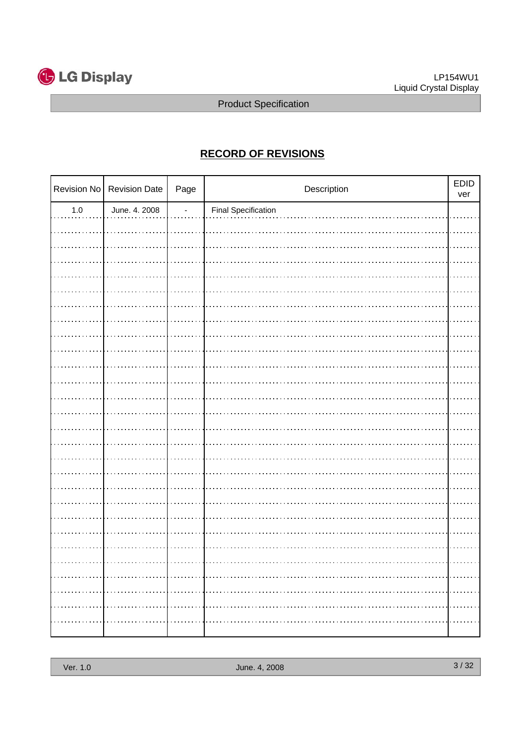

# **RECORD OF REVISIONS**

|         | Revision No Revision Date | Page           | Description                | EDID<br>ver |
|---------|---------------------------|----------------|----------------------------|-------------|
| $1.0\,$ | June. 4. 2008             | $\overline{a}$ | <b>Final Specification</b> |             |
|         |                           |                |                            |             |
|         |                           |                |                            |             |
|         |                           |                |                            |             |
|         |                           |                |                            |             |
|         |                           |                |                            |             |
|         |                           |                |                            |             |
|         |                           |                |                            |             |
|         |                           |                |                            |             |
|         |                           |                |                            |             |
|         |                           |                |                            |             |
|         |                           |                |                            |             |
|         |                           |                |                            |             |
|         |                           |                |                            |             |
|         |                           |                |                            |             |
|         |                           |                |                            |             |
|         |                           |                |                            |             |
|         |                           |                |                            |             |
|         |                           |                |                            |             |
|         |                           |                |                            |             |
|         |                           |                |                            |             |
|         |                           |                |                            |             |
|         |                           |                |                            |             |
|         |                           |                |                            |             |
|         |                           |                |                            |             |
|         |                           |                |                            |             |
|         |                           |                |                            |             |
|         |                           |                |                            |             |
|         |                           |                |                            |             |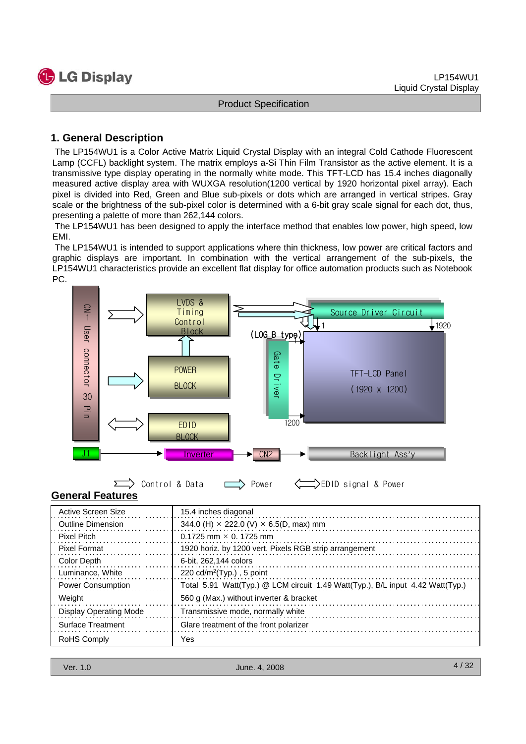

#### **1. General Description**

The LP154WU1 is a Color Active Matrix Liquid Crystal Display with an integral Cold Cathode Fluorescent Lamp (CCFL) backlight system. The matrix employs a-Si Thin Film Transistor as the active element. It is a transmissive type display operating in the normally white mode. This TFT-LCD has 15.4 inches diagonally measured active display area with WUXGA resolution(1200 vertical by 1920 horizontal pixel array). Each pixel is divided into Red, Green and Blue sub-pixels or dots which are arranged in vertical stripes. Gray scale or the brightness of the sub-pixel color is determined with a 6-bit gray scale signal for each dot, thus, presenting a palette of more than 262,144 colors.

The LP154WU1 has been designed to apply the interface method that enables low power, high speed, low EMI.

The LP154WU1 is intended to support applications where thin thickness, low power are critical factors and graphic displays are important. In combination with the vertical arrangement of the sub-pixels, the LP154WU1 characteristics provide an excellent flat display for office automation products such as Notebook PC.





**General Features**

| Active Screen Size            | 15.4 inches diagonal                                                           |
|-------------------------------|--------------------------------------------------------------------------------|
| <b>Outline Dimension</b>      | 344.0 (H) $\times$ 222.0 (V) $\times$ 6.5(D, max) mm                           |
| <b>Pixel Pitch</b>            | $0.1725$ mm $\times$ 0. 1725 mm                                                |
| <b>Pixel Format</b>           | 1920 horiz. by 1200 vert. Pixels RGB strip arrangement                         |
| Color Depth                   | 6-bit. 262,144 colors                                                          |
| Luminance, White              | 220 $cd/m^2$ (Typ.), 5 point                                                   |
| <b>Power Consumption</b>      | Total 5.91 Watt(Typ.) @ LCM circuit 1.49 Watt(Typ.), B/L input 4.42 Watt(Typ.) |
| Weight                        | 560 g (Max.) without inverter & bracket                                        |
| <b>Display Operating Mode</b> | Transmissive mode, normally white                                              |
| <b>Surface Treatment</b>      | Glare treatment of the front polarizer                                         |
| <b>RoHS Comply</b>            | Yes                                                                            |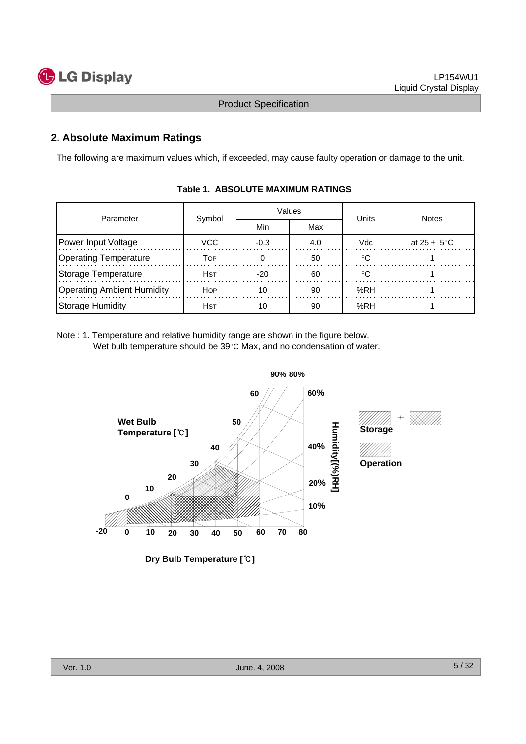

### **2. Absolute Maximum Ratings**

The following are maximum values which, if exceeded, may cause faulty operation or damage to the unit.

| Parameter                         |             |            | Values | Units | <b>Notes</b>            |  |
|-----------------------------------|-------------|------------|--------|-------|-------------------------|--|
|                                   | Symbol      | Min<br>Max |        |       |                         |  |
| Power Input Voltage               | VCC         | $-0.3$     | 4.0    | Vdc   | at $25 \pm 5^{\circ}$ C |  |
| <b>Operating Temperature</b>      | Тор         |            | 50     |       |                         |  |
| Storage Temperature               | <b>H</b> st | $-20$      | 60     | ∘౧    |                         |  |
| <b>Operating Ambient Humidity</b> | <b>HOP</b>  | 10         | 90     | %RH   |                         |  |
| Storage Humidity                  | <b>H</b> st | 10         | 90     | %RH   |                         |  |

#### **Table 1. ABSOLUTE MAXIMUM RATINGS**

Note : 1. Temperature and relative humidity range are shown in the figure below. Wet bulb temperature should be 39°C Max, and no condensation of water.



**Dry Bulb Temperature [**℃**]**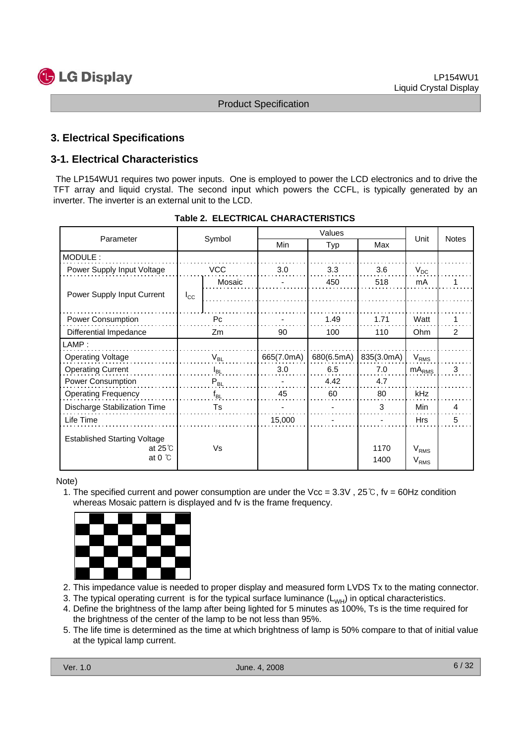

#### **3. Electrical Specifications**

#### **3-1. Electrical Characteristics**

The LP154WU1 requires two power inputs. One is employed to power the LCD electronics and to drive the TFT array and liquid crystal. The second input which powers the CCFL, is typically generated by an inverter. The inverter is an external unit to the LCD.

| Parameter                                                                  |              | Symbol         | Min        | Typ        | Max          | Unit                          | <b>Notes</b> |
|----------------------------------------------------------------------------|--------------|----------------|------------|------------|--------------|-------------------------------|--------------|
| MODULE:                                                                    |              |                |            |            |              |                               |              |
| Power Supply Input Voltage                                                 |              | <b>VCC</b>     | 3.0        | 3.3        | 3.6          | $V_{DC}$                      |              |
|                                                                            |              | Mosaic         |            | 450        | 518          | mA                            |              |
| Power Supply Input Current                                                 | $I_{\rm CC}$ |                |            |            |              |                               |              |
|                                                                            |              |                |            |            |              |                               |              |
| Power Consumption                                                          |              | P <sub>c</sub> |            | 1.49       | 1.71         | Watt                          | 1            |
| Differential Impedance                                                     |              | Zm             | 90         | 100        | 110          | Ohm                           | 2            |
| LAMP:                                                                      |              |                |            |            |              |                               |              |
| <b>Operating Voltage</b>                                                   |              | $V_{BL}$       | 665(7.0mA) | 680(6.5mA) | 835(3.0mA)   | $V_{RMS}$                     |              |
| <b>Operating Current</b>                                                   |              | $I_{BL}$       | 3.0        | 6.5        | 7.0          | $mA_{RMS}$                    | 3            |
| Power Consumption                                                          |              | $P_{BL}$       |            | 4.42       | 4.7          |                               |              |
| <b>Operating Frequency</b>                                                 |              | $f_{BL}$       | 45         | 60         | 80           | kHz                           |              |
| Discharge Stabilization Time                                               |              | Ts             |            |            | 3            | Min                           | 4            |
| Life Time                                                                  |              |                | 15,000     |            |              | <b>Hrs</b>                    | 5            |
| <b>Established Starting Voltage</b><br>at $25^\circ$ C<br>at $0^{\circ}$ C |              | Vs             |            |            | 1170<br>1400 | V <sub>RMS</sub><br>$V_{RMS}$ |              |

#### **Table 2. ELECTRICAL CHARACTERISTICS**

Note)

1. The specified current and power consumption are under the Vcc =  $3.3V$ ,  $25°C$ , fv =  $60Hz$  condition whereas Mosaic pattern is displayed and fv is the frame frequency.



- 2. This impedance value is needed to proper display and measured form LVDS Tx to the mating connector.
- 3. The typical operating current is for the typical surface luminance  $(L_{WH})$  in optical characteristics.
- 4. Define the brightness of the lamp after being lighted for 5 minutes as 100%, Ts is the time required for the brightness of the center of the lamp to be not less than 95%.
- 5. The life time is determined as the time at which brightness of lamp is 50% compare to that of initial value at the typical lamp current.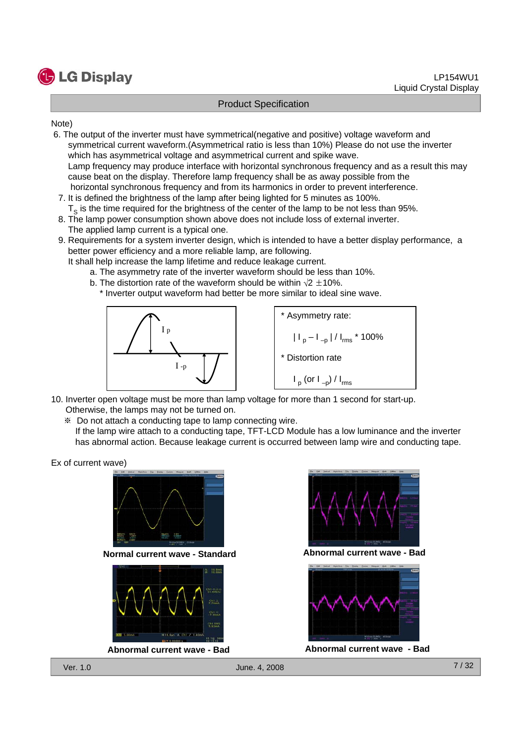

Note)

- 6. The output of the inverter must have symmetrical(negative and positive) voltage waveform and symmetrical current waveform.(Asymmetrical ratio is less than 10%) Please do not use the inverter which has asymmetrical voltage and asymmetrical current and spike wave. Lamp frequency may produce interface with horizontal synchronous frequency and as a result this may cause beat on the display. Therefore lamp frequency shall be as away possible from the horizontal synchronous frequency and from its harmonics in order to prevent interference.
- 7. It is defined the brightness of the lamp after being lighted for 5 minutes as 100%.  $T<sub>o</sub>$  is the time required for the brightness of the center of the lamp to be not less than 95%.
- 8. The lamp power consumption shown above does not include loss of external inverter. The applied lamp current is a typical one.
- 9. Requirements for a system inverter design, which is intended to have a better display performance, a better power efficiency and a more reliable lamp, are following.
	- It shall help increase the lamp lifetime and reduce leakage current.
		- a. The asymmetry rate of the inverter waveform should be less than 10%.
		- b. The distortion rate of the waveform should be within  $\sqrt{2} \pm 10\%$ .
			- \* Inverter output waveform had better be more similar to ideal sine wave.



\* Asymmetry rate:  $|I_p - I_{-p}| / I_{rms}$  \* 100% \* Distortion rate  $I_p$  (or  $I_{-p}$ ) /  $I_{rms}$ 

- 10. Inverter open voltage must be more than lamp voltage for more than 1 second for start-up. Otherwise, the lamps may not be turned on.
	- ※ Do not attach a conducting tape to lamp connecting wire.
	- If the lamp wire attach to a conducting tape, TFT-LCD Module has a low luminance and the inverter has abnormal action. Because leakage current is occurred between lamp wire and conducting tape.

Ex of current wave)



**Normal current wave - Standard Abnormal current wave - Bad**



**Abnormal current wave - Bad Abnormal current wave - Bad**



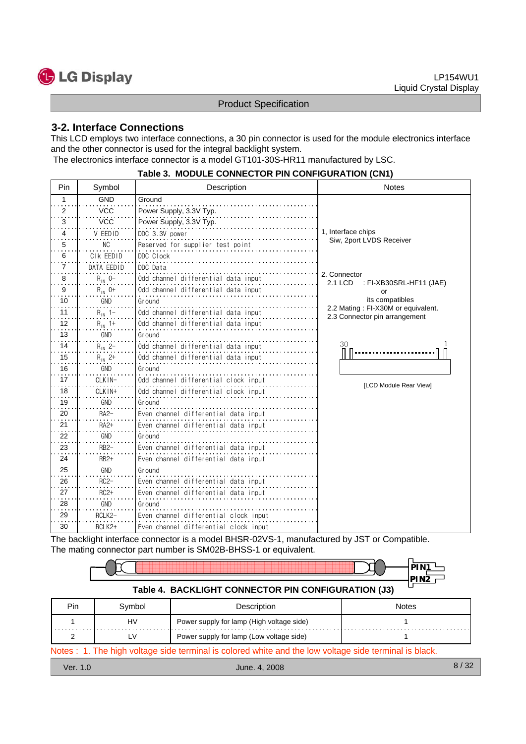

#### **3-2. Interface Connections**

This LCD employs two interface connections, a 30 pin connector is used for the module electronics interface and the other connector is used for the integral backlight system. The electronics interface connector is a model GT101-30S-HR11 manufactured by LSC.

|                | <u>FADIE 3. MIODULE CONNECTOR PIN CONFIGURATION (CNT)</u> |                                       |                                                                     |  |  |  |  |  |  |  |
|----------------|-----------------------------------------------------------|---------------------------------------|---------------------------------------------------------------------|--|--|--|--|--|--|--|
| Pin            | Symbol                                                    | Description                           | <b>Notes</b>                                                        |  |  |  |  |  |  |  |
| 1              | <b>GND</b>                                                | Ground                                |                                                                     |  |  |  |  |  |  |  |
| 2              | <b>VCC</b>                                                | Power Supply, 3.3V Typ.               |                                                                     |  |  |  |  |  |  |  |
| 3              | <b>VCC</b>                                                | Power Supply, 3.3V Typ.               |                                                                     |  |  |  |  |  |  |  |
| 4              | V EEDID                                                   | DDC 3.3V power                        | 1, Interface chips                                                  |  |  |  |  |  |  |  |
| 5              | NC                                                        | Reserved for supplier test point      | Siw, 2port LVDS Receiver                                            |  |  |  |  |  |  |  |
| 6              | CIK EEDID                                                 | DDC Clock                             |                                                                     |  |  |  |  |  |  |  |
| $\overline{7}$ | DATA EEDID                                                | DDC Data                              |                                                                     |  |  |  |  |  |  |  |
| 8              | $R_{IN}$ 0-                                               | Odd channel differential data input   | 2. Connector<br>2.1 LCD<br>: FI-XB30SRL-HF11 (JAE)                  |  |  |  |  |  |  |  |
| 9              | $R_{IN}$ 0+                                               | Odd channel differential data input   | or                                                                  |  |  |  |  |  |  |  |
| 10             | <b>GND</b>                                                | Ground                                | its compatibles                                                     |  |  |  |  |  |  |  |
| 11             | $R_{1N}$ 1-                                               | Odd channel differential data input   | 2.2 Mating: FI-X30M or equivalent.<br>2.3 Connector pin arrangement |  |  |  |  |  |  |  |
| 12             | $R_{1N}$ 1+                                               | Odd channel differential data input   |                                                                     |  |  |  |  |  |  |  |
| 13             | <b>GND</b>                                                | Ground                                |                                                                     |  |  |  |  |  |  |  |
| 14             | $R_{1N}$ 2-                                               | Odd channel differential data input   | 30                                                                  |  |  |  |  |  |  |  |
| 15             | $R_{1N}$ 2+                                               | Odd channel differential data input   |                                                                     |  |  |  |  |  |  |  |
| 16             | GND                                                       | Ground                                |                                                                     |  |  |  |  |  |  |  |
| 17             | CLKIN-                                                    | Odd channel differential clock input  | [LCD Module Rear View]                                              |  |  |  |  |  |  |  |
| 18             | CLKIN+                                                    | Odd channel differential clock input  |                                                                     |  |  |  |  |  |  |  |
| 19             | <b>GND</b>                                                | Ground                                |                                                                     |  |  |  |  |  |  |  |
| 20             | $RA2-$                                                    | Even channel differential data input  |                                                                     |  |  |  |  |  |  |  |
| 21             | <b>RA2+</b>                                               | Even channel differential data input  |                                                                     |  |  |  |  |  |  |  |
| 22             | GND                                                       | Ground                                |                                                                     |  |  |  |  |  |  |  |
| 23             | $RB2-$                                                    | Even channel differential data input  |                                                                     |  |  |  |  |  |  |  |
| 24             | $RB2+$                                                    | Even channel differential data input  |                                                                     |  |  |  |  |  |  |  |
| 25             | <b>GND</b>                                                | Ground                                |                                                                     |  |  |  |  |  |  |  |
| 26             | $RC2-$                                                    | Even channel differential data input  |                                                                     |  |  |  |  |  |  |  |
| 27             | $RC2+$                                                    | Even channel differential data input  |                                                                     |  |  |  |  |  |  |  |
| 28             | GND                                                       | Ground                                |                                                                     |  |  |  |  |  |  |  |
| 29             | RCLK2-                                                    | Even channel differential clock input |                                                                     |  |  |  |  |  |  |  |
| 30             | RCLK2+                                                    | Even channel differential clock input |                                                                     |  |  |  |  |  |  |  |

#### **Table 3. MODULE CONNECTOR PIN CONFIGURATION (CN1)**

The backlight interface connector is a model BHSR-02VS-1, manufactured by JST or Compatible. The mating connector part number is SM02B-BHSS-1 or equivalent.

|     | Table 4. BACKLIGHT CONNECTOR PIN CONFIGURATION (J3) |                                           |              |  |  |  |  |  |  |  |  |
|-----|-----------------------------------------------------|-------------------------------------------|--------------|--|--|--|--|--|--|--|--|
| Pin | Symbol                                              | Description                               | <b>Notes</b> |  |  |  |  |  |  |  |  |
|     | HV                                                  | Power supply for lamp (High voltage side) |              |  |  |  |  |  |  |  |  |
|     | ΙV                                                  | Power supply for lamp (Low voltage side)  |              |  |  |  |  |  |  |  |  |

Notes : 1. The high voltage side terminal is colored white and the low voltage side terminal is black.

- 
- Ver. 1.0 June. 4, 2008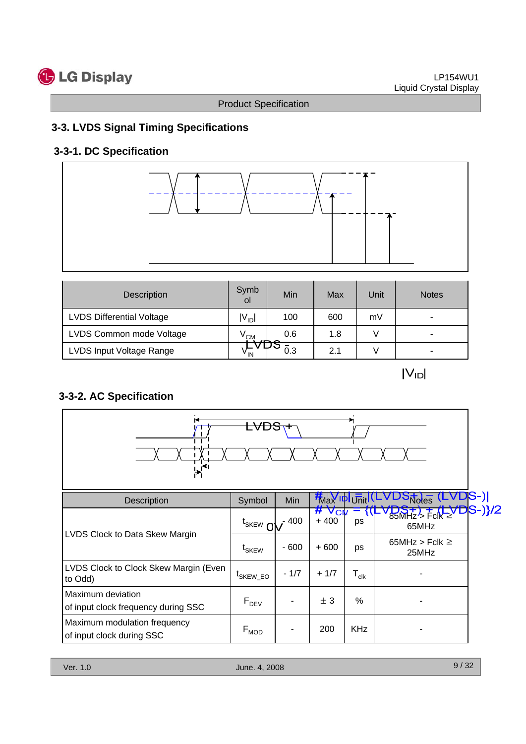

# **3-3. LVDS Signal Timing Specifications**

# **3-3-1. DC Specification**



| <b>Description</b>               | Symb<br>οl      | Min | Max | Unit | <b>Notes</b> |
|----------------------------------|-----------------|-----|-----|------|--------------|
| <b>LVDS Differential Voltage</b> | $V_{\text{ID}}$ | 100 | 600 | mV   | ۰            |
| LVDS Common mode Voltage         | $V^{\text{CM}}$ | 0.6 | 1.8 |      | ۰            |
| LVDS Input Voltage Range         | <sup>v</sup> IN | 0.3 | 2.1 |      | ۰            |

 $|V_{ID}|$ 

# **3-3-2. AC Specification**



| Description                                               | Symbol               | <b>Min</b> | <b>KNaY IDIUnit IV-</b> |                             | <b>1S-) </b><br>$5\pi$ des ( $-$                          |
|-----------------------------------------------------------|----------------------|------------|-------------------------|-----------------------------|-----------------------------------------------------------|
|                                                           | $t_{SKEW}$ $\Omega$  | - 400      | $#V_{CI}$<br>$+400$     | ps                          | <del>1DS+) + (LVD</del> S-)}/2<br>85MHz > Fclk ≥<br>65MHz |
| LVDS Clock to Data Skew Margin                            | t <sub>SKEW</sub>    | $-600$     | $+600$                  | ps                          | 65MHz > Fclk $\geq$<br>25MHz                              |
| LVDS Clock to Clock Skew Margin (Even<br>to Odd)          | <sup>L</sup> SKEW EO | $-1/7$     | $+1/7$                  | $\mathsf{T}_{\mathsf{clk}}$ |                                                           |
| Maximum deviation<br>of input clock frequency during SSC  | $F_{DEV}$            |            | ± 3                     | %                           |                                                           |
| Maximum modulation frequency<br>of input clock during SSC | $F_{MOD}$            |            | 200                     | <b>KHz</b>                  |                                                           |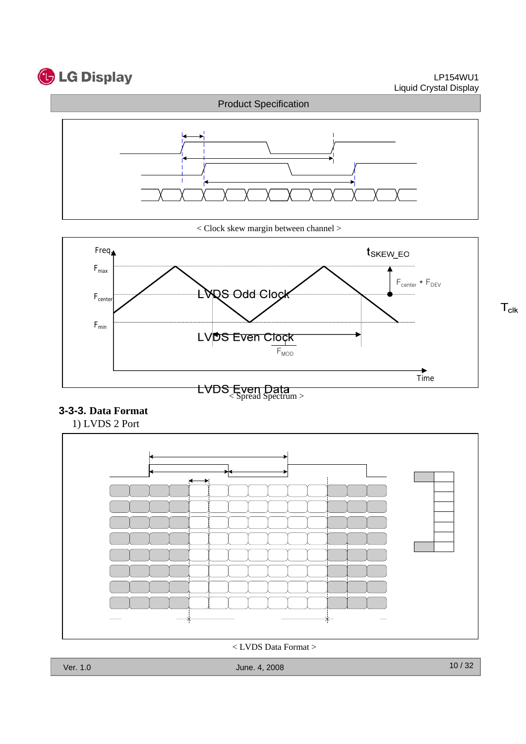

 $T_{\text{clk}}$ 



< Clock skew margin between channel >



#### **3-3-3. Data Format**



< LVDS Data Format >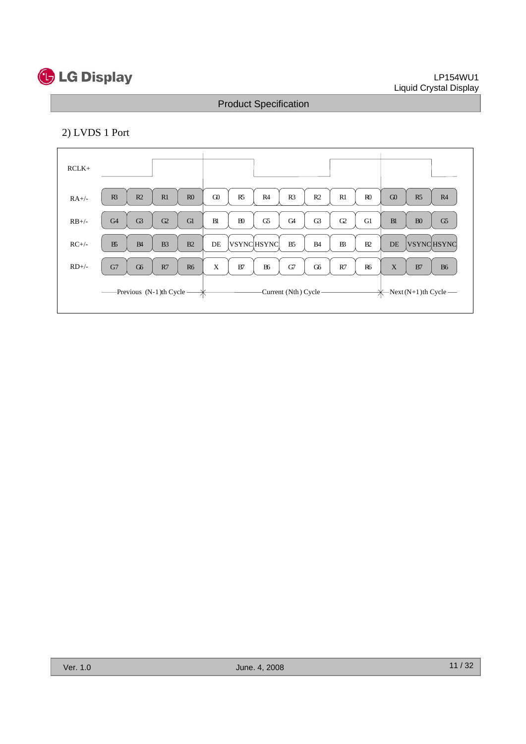

#### LP154WU1 Liquid Crystal Display

# Product Specification

## 2) LVDS 1 Port

| $RCLK+$             |                |                |                |                                           |             |                |                   |                        |                |                |                |          |                |                                   |
|---------------------|----------------|----------------|----------------|-------------------------------------------|-------------|----------------|-------------------|------------------------|----------------|----------------|----------------|----------|----------------|-----------------------------------|
| $RA+/$              | R <sup>3</sup> | R2             | R1             | R <sub>0</sub>                            | $\Omega$    | R <sub>5</sub> | R4                | R <sub>3</sub>         | R <sub>2</sub> | R1             | R <sub>0</sub> | $\Omega$ | R5             | R4                                |
| $RB+/$              | G <sub>4</sub> | G3             | G2             | Gl                                        | <b>B</b>    | B <sub>0</sub> | G5                | G <sub>4</sub>         | G3             | $\Omega$       | G1             | B1       | B <sub>0</sub> | G5                                |
| $RC+/-$             | B5             | B <sub>4</sub> | B <sub>3</sub> | B2                                        | DE          |                | <b>VSYNCHSYNC</b> | B <sub>5</sub>         | <b>B</b> 4     | B <sup>3</sup> | B2             | DE       |                | <b>VSYNCHSYNC</b>                 |
| $RD$ <sup>+/-</sup> | G7             | G6             | R7             | <b>R6</b>                                 | $\mathbf X$ | B7             | B <sub>6</sub>    | G7                     | G6             | R7             | <b>R6</b>      | X        | B7             | <b>B6</b>                         |
|                     |                |                |                | -Previous (N-1)th Cycle $\longrightarrow$ |             |                |                   | -Current (Nth) Cycle - |                |                |                |          |                | $\leftarrow$ Next (N+1)th Cycle — |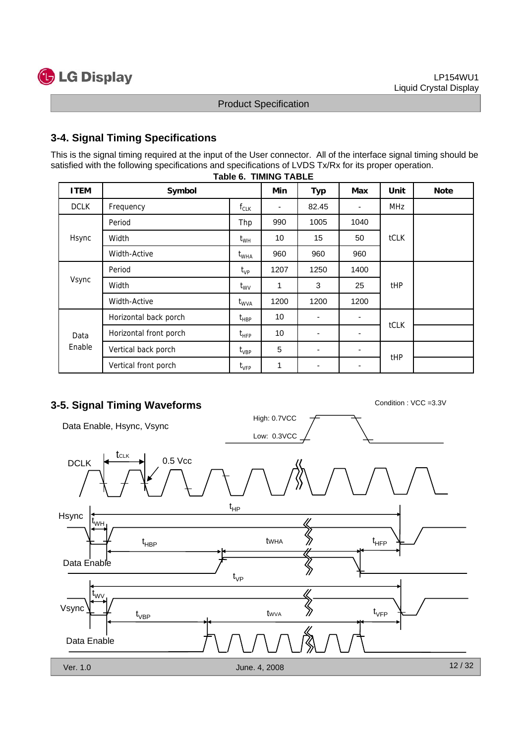

#### **3-4. Signal Timing Specifications**

This is the signal timing required at the input of the User connector. All of the interface signal timing should be satisfied with the following specifications and specifications of LVDS Tx/Rx for its proper operation.

| <b>ITEM</b>    | Symbol                 |               | Min                      | <b>Typ</b>               | Max  | Unit            | <b>Note</b> |
|----------------|------------------------|---------------|--------------------------|--------------------------|------|-----------------|-------------|
| <b>DCLK</b>    | Frequency              | $f_{CLK}$     | $\overline{\phantom{a}}$ | 82.45                    | ٠    | <b>MHz</b>      |             |
|                | Period                 | Thp           | 990                      | 1005                     | 1040 |                 |             |
| Hsync          | Width                  | $t_{WH}$      | 10                       | 15                       | 50   | <b>tCLK</b>     |             |
|                | Width-Active           | $t_{WHA}$     | 960                      | 960                      | 960  |                 |             |
| Vsync          | Period                 | $t_{VP}$      | 1207                     | 1250                     | 1400 |                 |             |
|                | Width                  | $t_{\rm WV}$  | 1                        | 3                        | 25   | t <sub>HP</sub> |             |
|                | Width-Active           | $t_{WVA}$     | 1200                     | 1200                     | 1200 |                 |             |
|                | Horizontal back porch  | $t_{HBP}$     | 10                       |                          |      |                 |             |
| Data<br>Enable | Horizontal front porch | $t_{\sf HFP}$ | 10                       | $\overline{\phantom{a}}$ |      | tCLK            |             |
|                | Vertical back porch    | $t_{\sf VBP}$ | 5                        | $\blacksquare$           | ٠    |                 |             |
|                | Vertical front porch   | $t_{\rm VFP}$ | 1                        | $\overline{\phantom{a}}$ | -    | t <sub>HP</sub> |             |

#### **Table 6. TIMING TABLE**

# **3-5. Signal Timing Waveforms** Condition : VCC =3.3V

High: 0.7VCC Data Enable, Hsync, Vsync Low: 0.3VCC **t**<sub>CLK</sub>  $DCLK$   $\leftarrow$   $\leftarrow$  0.5 Vcc t HP Hsync t WH  $t_{\sf HRP}$  twist  $\langle t \rangle$  twist twist the  $\langle t \rangle$ tWHA HBP HFP Data Enable t VP t WV  $\left\langle\!\left\langle {}\right\rangle\!\right\rangle$ Vsync t VFP tWVA t VBP Data Enable 12 / 32 Ver. 1.0 June. 4, 2008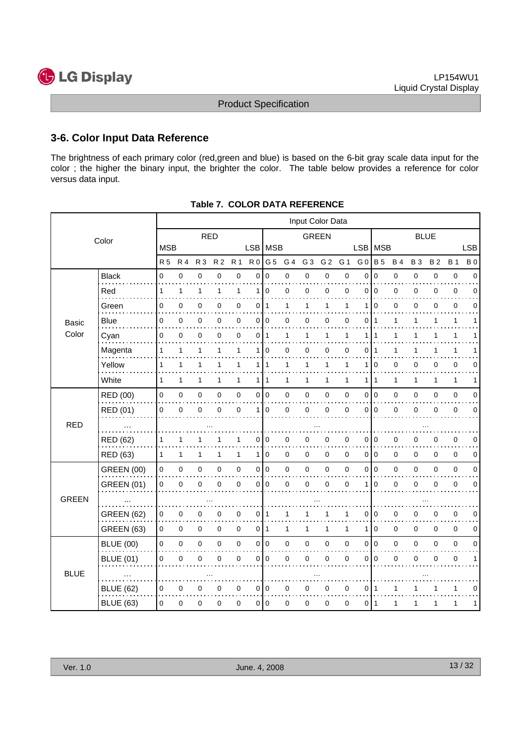

#### **3-6. Color Input Data Reference**

The brightness of each primary color (red,green and blue) is based on the 6-bit gray scale data input for the color ; the higher the binary input, the brighter the color. The table below provides a reference for color versus data input.

|              | Input Color Data  |              |              |                |                |                     |                |                 |              |                |                |              |                |                |              |             |           |              |             |
|--------------|-------------------|--------------|--------------|----------------|----------------|---------------------|----------------|-----------------|--------------|----------------|----------------|--------------|----------------|----------------|--------------|-------------|-----------|--------------|-------------|
|              | Color             |              |              | <b>RED</b>     |                |                     |                |                 |              | <b>GREEN</b>   |                |              |                |                |              | <b>BLUE</b> |           |              |             |
|              |                   | <b>MSB</b>   |              |                |                |                     |                | LSB MSB         |              |                |                |              |                | LSB   MSB      |              |             |           |              | <b>LSB</b>  |
|              |                   | <b>R</b> 5   | <b>R4</b>    | R <sub>3</sub> | R <sub>2</sub> | <b>R</b> 1          |                | $R0$ G5         | G 4          | G <sub>3</sub> | G <sub>2</sub> | G 1          | G <sub>0</sub> | <b>B</b> 5     | <b>B4</b>    | <b>B3</b>   | <b>B2</b> | <b>B1</b>    | <b>B</b> 0  |
|              | <b>Black</b>      | $\Omega$     | $\mathsf 0$  | $\pmb{0}$      | 0              | $\pmb{0}$           | $\overline{0}$ | $\Omega$        | $\mathbf 0$  | $\mathbf 0$    | $\mathsf 0$    | $\mathbf 0$  | $\Omega$       | $\mathbf 0$    | $\mathsf 0$  | $\mathbf 0$ | 0         | $\mathbf 0$  | $\mathbf 0$ |
|              | Red               | 1            | 1            | 1              | 1              | $\mathbf{1}$        | 1              | $\overline{0}$  | 0            | 0              | 0              | $\mathbf 0$  | 0              | $\mathbf 0$    | 0            | 0           | 0         | 0            | 0           |
|              | Green             | 0            | 0            | 0              | 0              | 0                   | 0              | 1               | 1            | 1              | 1              | 1            | 1              | 0              | 0            | 0           | 0         | 0            | 0           |
| <b>Basic</b> | Blue              | 0            | 0            | $\pmb{0}$      | 0              | $\mathbf 0$         |                | 0 0             | 0            | 0              | 0              | 0            | 0              | -1             | 1            | 1           | 1         | 1            | 1           |
| Color        | Cyan              | $\mathbf 0$  | $\mathbf 0$  | 0              | 0              | $\mathbf 0$         | 0              | $\mathbf{1}$    | 1            | $\mathbf{1}$   | $\mathbf{1}$   | 1            | 1              | $\mathbf{1}$   | $\mathbf{1}$ | 1           | 1         | $\mathbf{1}$ |             |
|              | Magenta           | 1            | 1            | 1              | 1              | $\mathbf{1}$        | 1              | $\mathbf 0$     | 0            | 0              | 0              | $\mathbf 0$  | 0              | $\mathbf 1$    | 1            | 1           | 1         | 1            |             |
|              | Yellow            | $\mathbf{1}$ | $\mathbf{1}$ | 1              | 1              | $\mathbf{1}$        |                | 111             | $\mathbf{1}$ | 1              | 1              | 1            | 1              | $\overline{0}$ | 0            | 0           | 0         | $\mathbf 0$  | 0           |
|              | White             | $\mathbf{1}$ | $\mathbf{1}$ | 1              | 1              | $\mathbf{1}$        |                | 1 1             | $\mathbf{1}$ | $\mathbf{1}$   | 1              | $\mathbf{1}$ | 1              | $\overline{1}$ | $\mathbf{1}$ | 1           | 1         | $\mathbf{1}$ | 1           |
|              | RED (00)          | 0            | $\pmb{0}$    | $\pmb{0}$      | 0              | $\pmb{0}$           |                | 0 0             | 0            | $\pmb{0}$      | $\mathbf 0$    | 0            | 0              | l o            | 0            | $\mathbf 0$ | 0         | $\pmb{0}$    | 0           |
|              | RED (01)          | 0            | $\mathbf 0$  | $\mathbf 0$    | $\Omega$       | $\mathbf 0$         | 1 <sup>1</sup> | $\mathbf 0$     | 0            | $\mathbf 0$    | 0              | $\mathbf 0$  | $\Omega$       | l 0            | 0            | $\mathbf 0$ | 0         | $\mathbf 0$  | $\Omega$    |
| <b>RED</b>   |                   |              |              |                |                |                     |                |                 |              |                |                |              |                |                |              |             |           |              |             |
|              | <b>RED (62)</b>   | 1            | 1            | 1              |                | 1                   | 0              | $\mathbf 0$     | 0            | 0              | 0              | 0            | 0              | 0              | 0            | 0           | 0         | 0            | $\mathbf 0$ |
|              | <b>RED (63)</b>   | 1            | $\mathbf{1}$ | $\mathbf{1}$   | 1              | $\mathbf{1}$        |                | 110             | 0            | $\mathbf 0$    | $\mathbf 0$    | $\mathbf 0$  |                | 010            | 0            | 0           | 0         | $\mathbf 0$  | 0           |
|              | <b>GREEN (00)</b> | $\mathbf 0$  | $\pmb{0}$    | $\pmb{0}$      | 0              | $\pmb{0}$           |                | 0 0             | 0            | $\pmb{0}$      | $\mathbf 0$    | $\mathbf 0$  | 0              | I٥             | 0            | $\mathbf 0$ | 0         | $\pmb{0}$    | 0           |
|              | <b>GREEN (01)</b> | 0            | 0            | 0              | 0              | $\pmb{0}$           | 0              | $\mathbf 0$     | 0            | 0              | 0              | 0            | 1              | $\overline{0}$ | 0            | 0           | 0         | 0            | 0           |
| <b>GREEN</b> |                   |              |              |                |                |                     |                |                 |              |                |                |              |                |                |              |             |           |              |             |
|              | <b>GREEN (62)</b> | 0            | 0            | 0              | 0              | 0                   | $\overline{0}$ | $\mathbf 1$     | 1            | 1              | 1              | 1            | 0              | <b>0</b>       | 0            | 0           | 0         | $\pmb{0}$    | $\mathbf 0$ |
|              | <b>GREEN (63)</b> | $\mathbf 0$  | 0            | $\pmb{0}$      | 0              | $\mathsf{O}\xspace$ |                | 0 <sup>11</sup> | $\mathbf{1}$ | $\mathbf{1}$   | 1              | 1            | 1              | <b>0</b>       | $\mathbf 0$  | $\mathbf 0$ | 0         | $\mathbf 0$  | 0           |
|              | <b>BLUE (00)</b>  | 0            | $\pmb{0}$    | $\mathbf 0$    | 0              | $\mathsf 0$         |                | 0 0             | 0            | $\pmb{0}$      | $\mathbf 0$    | $\pmb{0}$    | 0              | 0              | $\mathsf 0$  | 0           | 0         | $\pmb{0}$    | 0           |
|              | <b>BLUE (01)</b>  | 0            | 0            | 0              | 0              | $\pmb{0}$           | $\mathsf{O}$   | $\mathbf 0$     | 0            | 0              | $\mathbf 0$    | 0            | 0              | <b>0</b>       | 0            | 0           | 0         | $\pmb{0}$    | 1           |
| <b>BLUE</b>  |                   |              |              |                |                |                     |                |                 |              |                |                |              |                |                |              |             |           |              |             |
|              | <b>BLUE (62)</b>  | 0            | 0            | 0              | 0              | 0                   |                | 0 <sup>10</sup> | 0            | 0              | 0              | 0            | 0              | -1             | 1            |             | 1         | 1            | $\mathbf 0$ |
|              | <b>BLUE (63)</b>  | $\mathbf 0$  | 0            | $\mathbf 0$    | 0              | $\mathbf 0$         |                | 0 <sup>10</sup> | 0            | 0              | 0              | 0            | 011            |                | 1            | 1           | 1         | 1            | 1           |

**Table 7. COLOR DATA REFERENCE**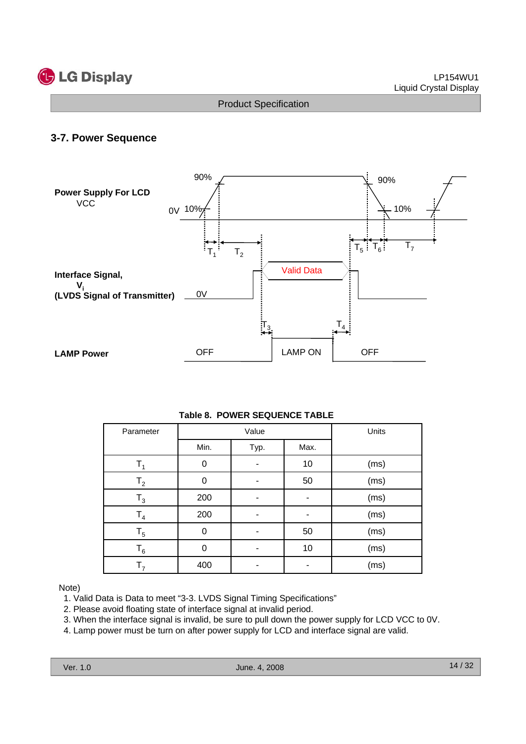

#### **3-7. Power Sequence**



|  |  | <b>Table 8. POWER SEQUENCE TABLE</b> |  |
|--|--|--------------------------------------|--|
|--|--|--------------------------------------|--|

| Parameter      |          | Value | Units |      |
|----------------|----------|-------|-------|------|
|                | Min.     | Typ.  | Max.  |      |
| $T_{4}$        | 0        |       | 10    | (ms) |
| T <sub>2</sub> | $\Omega$ |       | 50    | (ms) |
| $T_3$          | 200      |       |       | (ms) |
| T <sub>4</sub> | 200      |       |       | (ms) |
| $T_5$          | 0        |       | 50    | (ms) |
| $T_6$          | $\Omega$ |       | 10    | (ms) |
| $T_{7}$        | 400      |       |       | (ms) |

#### Note)

- 1. Valid Data is Data to meet "3-3. LVDS Signal Timing Specifications"
- 2. Please avoid floating state of interface signal at invalid period.
- 3. When the interface signal is invalid, be sure to pull down the power supply for LCD VCC to 0V.
- 4. Lamp power must be turn on after power supply for LCD and interface signal are valid.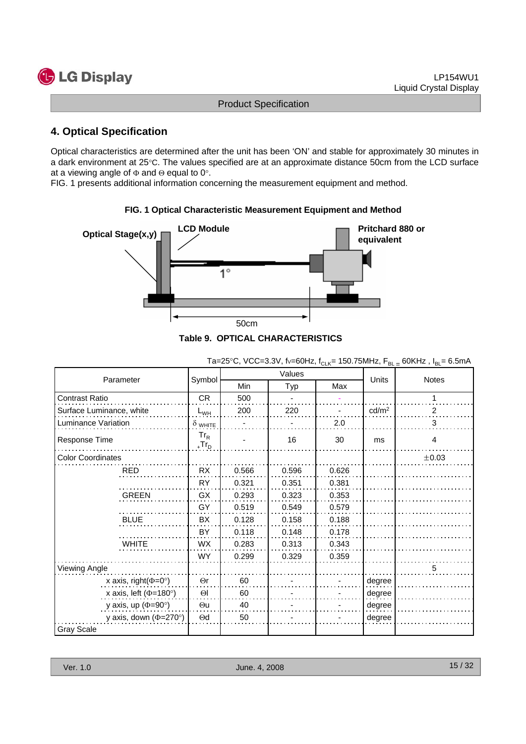# **C** LG Display

Product Specification

## **4. Optical Specification**

Optical characteristics are determined after the unit has been 'ON' and stable for approximately 30 minutes in a dark environment at 25°C. The values specified are at an approximate distance 50cm from the LCD surface at a viewing angle of  $\Phi$  and  $\Theta$  equal to 0°.

FIG. 1 presents additional information concerning the measurement equipment and method.



#### **FIG. 1 Optical Characteristic Measurement Equipment and Method**

|                              |                                |       | Values |       | Notes             |                |
|------------------------------|--------------------------------|-------|--------|-------|-------------------|----------------|
| Parameter                    | Symbol                         | Min   | Typ    | Max   | Units             |                |
| <b>Contrast Ratio</b>        | <b>CR</b>                      | 500   |        |       |                   | 1              |
| Surface Luminance, white     | $L_{WH}$                       | 200   | 220    |       | cd/m <sup>2</sup> | 2              |
| Luminance Variation          | $\delta$ white                 |       |        | 2.0   |                   | 3              |
| Response Time                | $Tr_R$<br>$T_r$ r <sub>D</sub> |       | 16     | 30    | ms                | $\overline{4}$ |
| <b>Color Coordinates</b>     |                                |       |        |       |                   | $\pm 0.03$     |
| <b>RED</b>                   | RX                             | 0.566 | 0.596  | 0.626 |                   |                |
|                              | <b>RY</b>                      | 0.321 | 0.351  | 0.381 |                   |                |
| <b>GREEN</b>                 | GX                             | 0.293 | 0.323  | 0.353 |                   |                |
|                              | GY                             | 0.519 | 0.549  | 0.579 |                   |                |
| <b>BLUE</b>                  | BX                             | 0.128 | 0.158  | 0.188 |                   |                |
|                              | BY                             | 0.118 | 0.148  | 0.178 |                   |                |
| <b>WHITE</b>                 | <b>WX</b>                      | 0.283 | 0.313  | 0.343 |                   |                |
|                              | <b>WY</b>                      | 0.299 | 0.329  | 0.359 |                   |                |
| Viewing Angle                |                                |       |        |       |                   | 5              |
| x axis, right( $\Phi$ =0°)   | $\Theta$ r                     | 60    |        |       | degree            |                |
| x axis, left ( $\Phi$ =180°) | $\Theta$                       | 60    |        |       | degree            |                |
| y axis, up ( $\Phi$ =90°)    | $\Theta$ u                     | 40    |        |       | degree            |                |
| y axis, down ( $\Phi$ =270°) | $\Theta$ d                     | 50    |        |       | degree            |                |
| <b>Gray Scale</b>            |                                |       |        |       |                   |                |

| Ta=25°C, VCC=3.3V, fv=60Hz, f <sub>CLK</sub> = 150.75MHz, F <sub>BL =</sub> 60KHz, I <sub>BL</sub> = 6.5mA |  |
|------------------------------------------------------------------------------------------------------------|--|
|------------------------------------------------------------------------------------------------------------|--|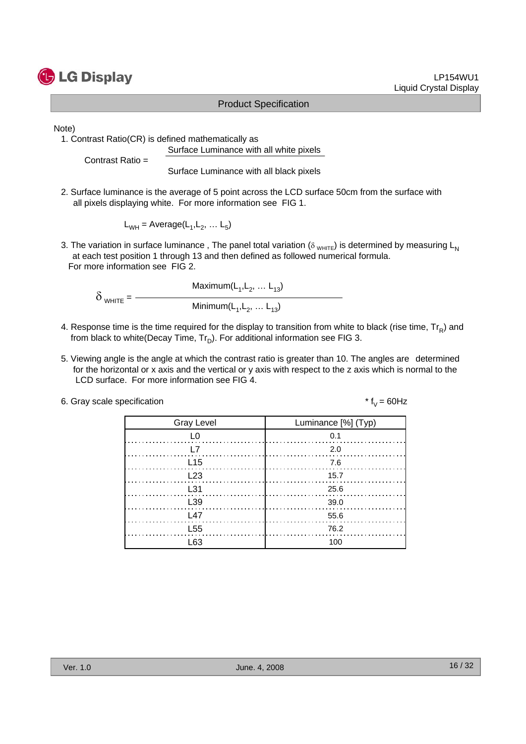

#### LP154WU1 Liquid Crystal Display

#### Product Specification

Note)

1. Contrast Ratio(CR) is defined mathematically as Surface Luminance with all white pixels

Contrast Ratio =

Surface Luminance with all black pixels

2. Surface luminance is the average of 5 point across the LCD surface 50cm from the surface with all pixels displaying white. For more information see FIG 1.

 $L_{WH}$  = Average( $L_1, L_2, \ldots L_5$ )

3. The variation in surface luminance, The panel total variation ( $\delta_{WHTE}$ ) is determined by measuring L<sub>N</sub> at each test position 1 through 13 and then defined as followed numerical formula. For more information see FIG 2.

Maximum $(L_1, L_2, ... L_{13})$  $\delta$ <sub>WHITE</sub> =  $\frac{1}{\text{Minimum}(L_1, L_2, \dots L_{13})}$ 

- 4. Response time is the time required for the display to transition from white to black (rise time,  $Tr_B$ ) and from black to white(Decay Time,  $Tr_D$ ). For additional information see FIG 3.
- 5. Viewing angle is the angle at which the contrast ratio is greater than 10. The angles are determined for the horizontal or x axis and the vertical or y axis with respect to the z axis which is normal to the LCD surface. For more information see FIG 4.

|  |  |  | 6. Gray scale specification |
|--|--|--|-----------------------------|
|--|--|--|-----------------------------|

\*  $f_V = 60$ Hz

| <b>Gray Level</b> | Luminance [%] (Typ) |
|-------------------|---------------------|
| L0                | 0.1                 |
| L7                | $\ldots$ 2.0        |
| L15               | 7.6                 |
| $\frac{L23}{2}$   | 15.7                |
| L31               | 25.6                |
| L <sub>39</sub>   | - 39.0              |
| L47               | - 55.6              |
| L <sub>55</sub>   | 76.2                |
| l 63              | 100                 |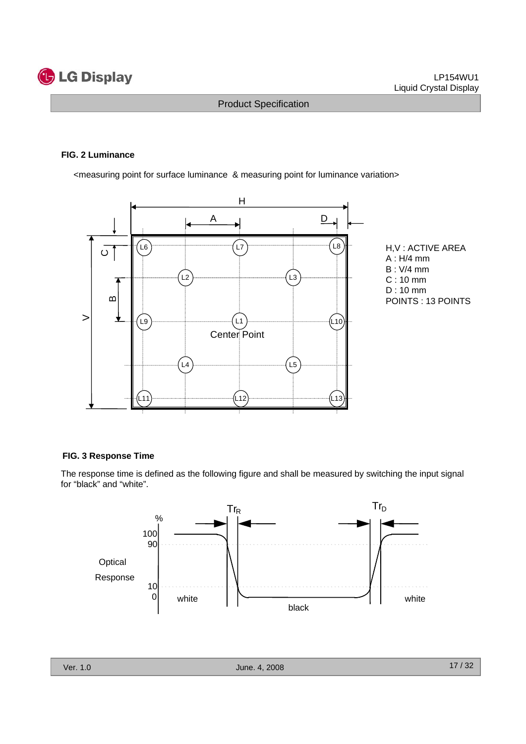

#### **FIG. 2 Luminance**

<measuring point for surface luminance & measuring point for luminance variation>



H,V : ACTIVE AREA A : H/4 mm B : V/4 mm C : 10 mm D : 10 mm POINTS : 13 POINTS

#### **FIG. 3 Response Time**

The response time is defined as the following figure and shall be measured by switching the input signal for "black" and "white".

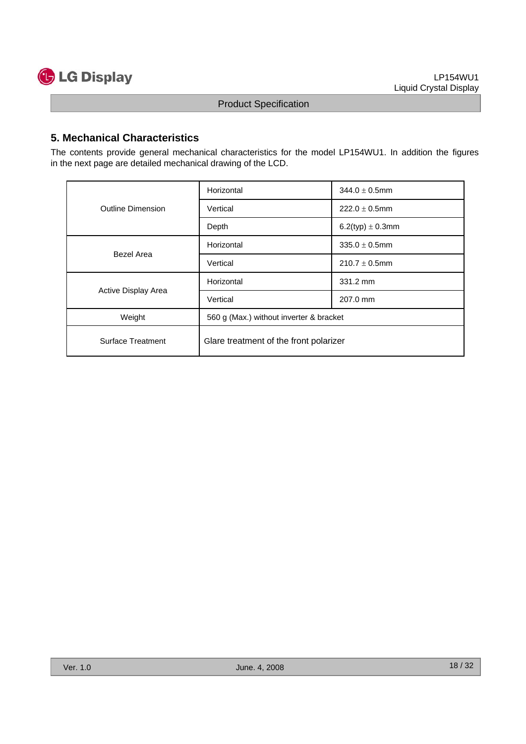

### **5. Mechanical Characteristics**

The contents provide general mechanical characteristics for the model LP154WU1. In addition the figures in the next page are detailed mechanical drawing of the LCD.

| <b>Outline Dimension</b> | Horizontal                              | $344.0 \pm 0.5$ mm   |  |  |  |
|--------------------------|-----------------------------------------|----------------------|--|--|--|
|                          | Vertical                                | $222.0 \pm 0.5$ mm   |  |  |  |
|                          | Depth                                   | 6.2(typ) $\pm$ 0.3mm |  |  |  |
|                          | Horizontal                              | $335.0 \pm 0.5$ mm   |  |  |  |
| Bezel Area               | Vertical                                | $210.7 \pm 0.5$ mm   |  |  |  |
|                          | Horizontal                              | 331.2 mm             |  |  |  |
| Active Display Area      | Vertical                                | 207.0 mm             |  |  |  |
| Weight                   | 560 g (Max.) without inverter & bracket |                      |  |  |  |
| Surface Treatment        | Glare treatment of the front polarizer  |                      |  |  |  |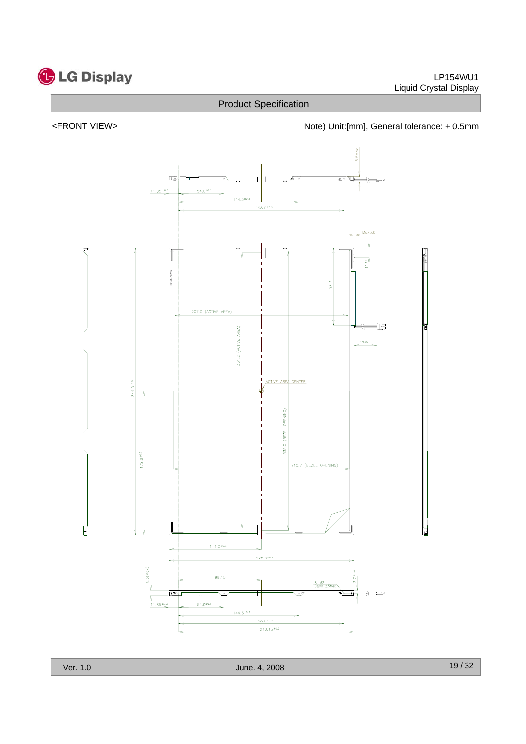

#### <FRONT VIEW> <http://www.matchbook.com/hote) Unit:[mm], General tolerance: ± 0.5mm



Ver. 1.0 June. 4, 2008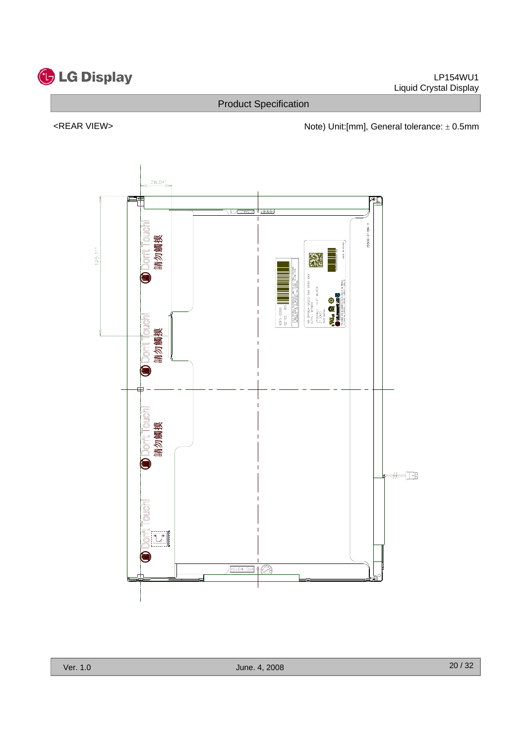

<REAR VIEW> <networkstate of the Note) Unit:[mm], General tolerance: ± 0.5mm

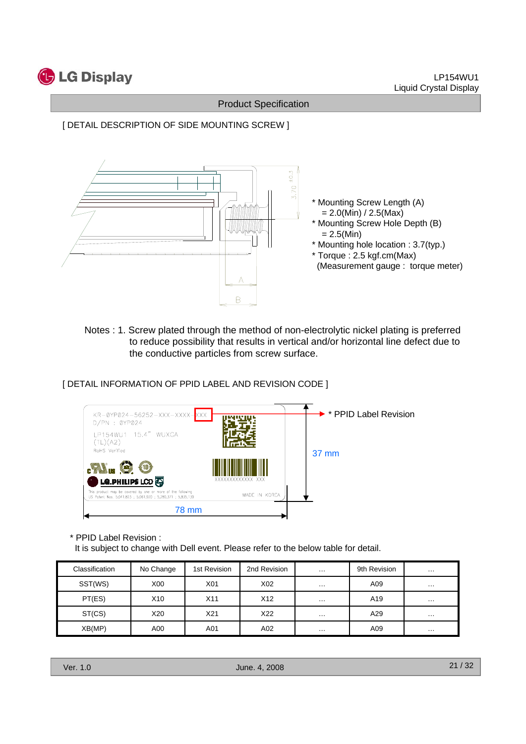

[ DETAIL DESCRIPTION OF SIDE MOUNTING SCREW ]



Notes : 1. Screw plated through the method of non-electrolytic nickel plating is preferred to reduce possibility that results in vertical and/or horizontal line defect due to the conductive particles from screw surface.

[ DETAIL INFORMATION OF PPID LABEL AND REVISION CODE ]



\* PPID Label Revision :

It is subject to change with Dell event. Please refer to the below table for detail.

| Classification | No Change       | 1st Revision | 2nd Revision | $\sim$ $\sim$ $\sim$ | 9th Revision | $\cdots$ |
|----------------|-----------------|--------------|--------------|----------------------|--------------|----------|
| SST(WS)        | X <sub>00</sub> | X01          | X02          | $\cdots$             | A09          | $\cdots$ |
| PT(ES)         | X <sub>10</sub> | X11          | X12          | $\cdots$             | A19          | $\cdots$ |
| ST(CS)         | X20             | X21          | X22          | $\cdots$             | A29          | $\cdots$ |
| XB(MP)         | A00             | A01          | A02          | $\cdots$             | A09          | $\cdots$ |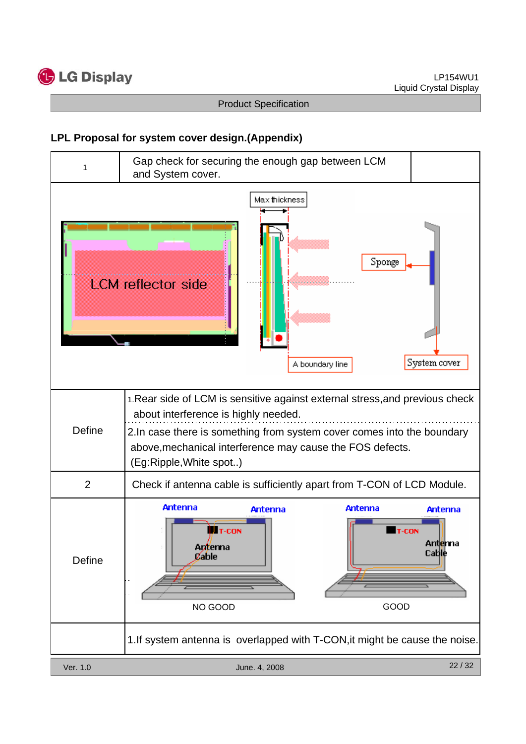

## **LPL Proposal for system cover design.(Appendix)**

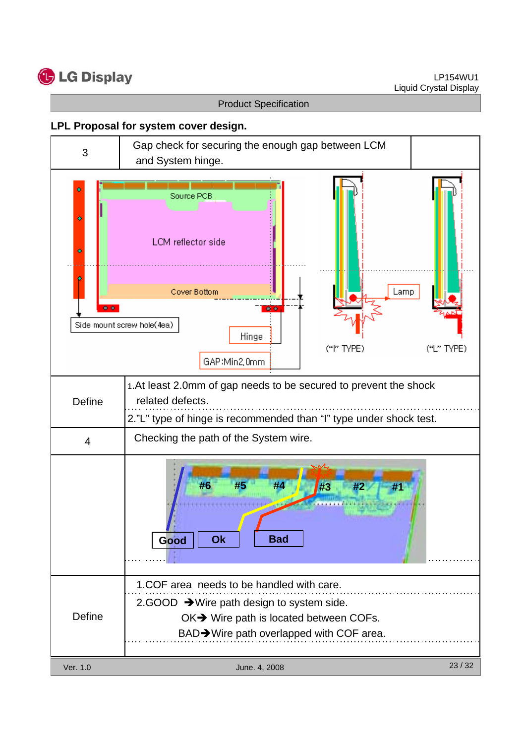

#### **LPL Proposal for system cover design.**

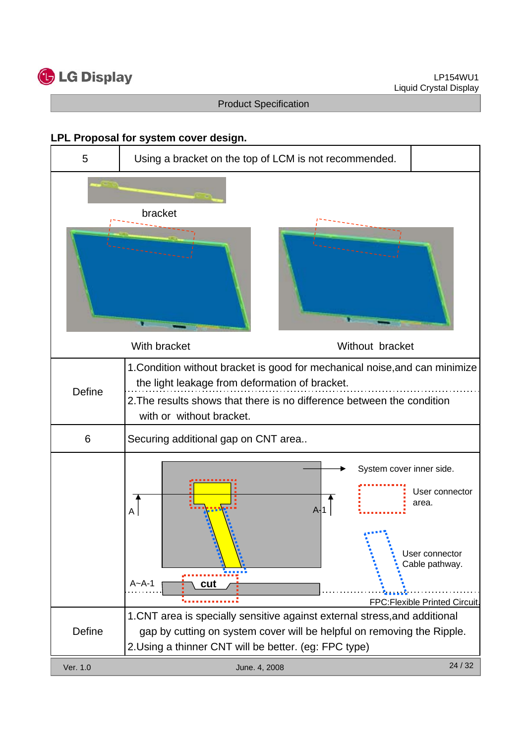

#### **LPL Proposal for system cover design.**

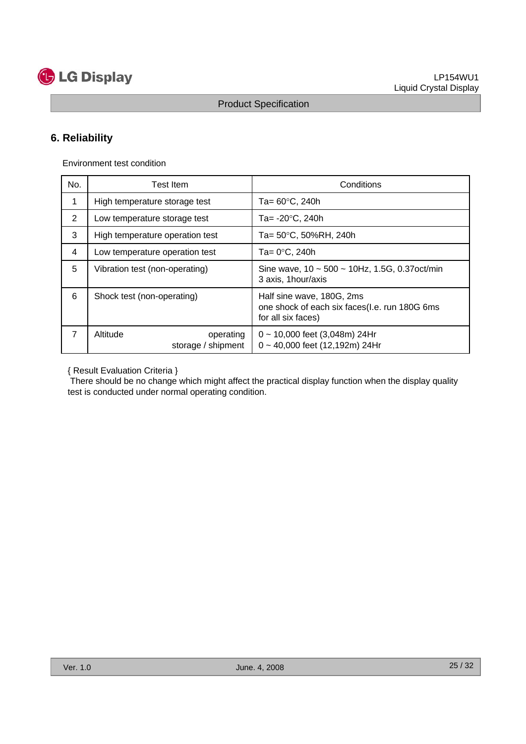

# **6. Reliability**

Environment test condition

| No. | Test Item                                   | Conditions                                                                                       |  |  |  |  |
|-----|---------------------------------------------|--------------------------------------------------------------------------------------------------|--|--|--|--|
| 1   | High temperature storage test               | Ta= $60^{\circ}$ C, 240h                                                                         |  |  |  |  |
| 2   | Low temperature storage test                | Ta= $-20^{\circ}$ C, 240h                                                                        |  |  |  |  |
| 3   | High temperature operation test             | Ta= 50°C, 50%RH, 240h                                                                            |  |  |  |  |
| 4   | Low temperature operation test              | Ta= $0^{\circ}$ C, 240h                                                                          |  |  |  |  |
| 5   | Vibration test (non-operating)              | Sine wave, $10 \sim 500 \sim 10$ Hz, 1.5G, 0.37 oct/min<br>3 axis, 1 hour/axis                   |  |  |  |  |
| 6   | Shock test (non-operating)                  | Half sine wave, 180G, 2ms<br>one shock of each six faces(I.e. run 180G 6ms<br>for all six faces) |  |  |  |  |
| 7   | Altitude<br>operating<br>storage / shipment | $0 \sim 10,000$ feet (3,048m) 24Hr<br>0~40,000 feet (12,192m) 24Hr                               |  |  |  |  |

{ Result Evaluation Criteria }

There should be no change which might affect the practical display function when the display quality test is conducted under normal operating condition.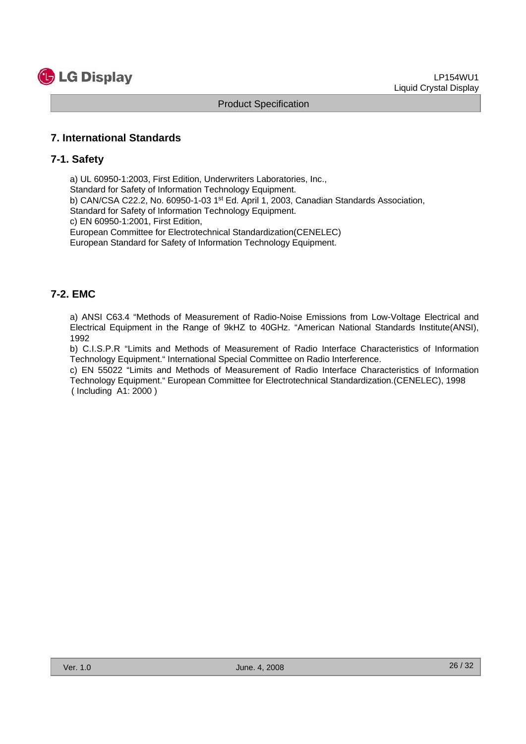

#### **7. International Standards**

#### **7-1. Safety**

a) UL 60950-1:2003, First Edition, Underwriters Laboratories, Inc., Standard for Safety of Information Technology Equipment. b) CAN/CSA C22.2, No. 60950-1-03 1st Ed. April 1, 2003, Canadian Standards Association, Standard for Safety of Information Technology Equipment. c) EN 60950-1:2001, First Edition, European Committee for Electrotechnical Standardization(CENELEC) European Standard for Safety of Information Technology Equipment.

#### **7-2. EMC**

a) ANSI C63.4 "Methods of Measurement of Radio-Noise Emissions from Low-Voltage Electrical and Electrical Equipment in the Range of 9kHZ to 40GHz. "American National Standards Institute(ANSI), 1992

b) C.I.S.P.R "Limits and Methods of Measurement of Radio Interface Characteristics of Information Technology Equipment." International Special Committee on Radio Interference.

c) EN 55022 "Limits and Methods of Measurement of Radio Interface Characteristics of Information Technology Equipment." European Committee for Electrotechnical Standardization.(CENELEC), 1998 ( Including A1: 2000 )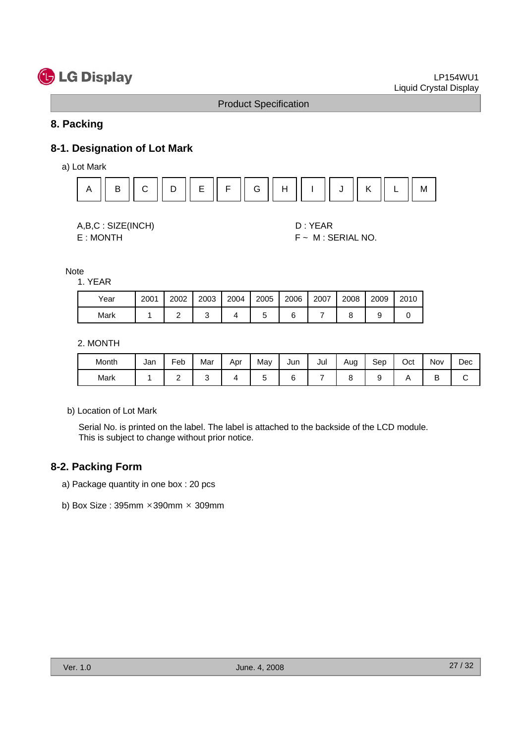# **C** LG Display

#### Product Specification

#### **8. Packing**

# **8-1. Designation of Lot Mark**

a) Lot Mark



| A, B, C: SIZE(INCH) |
|---------------------|
| E: MONTH            |

D : YEAR  $F ~ M : SERIAL NO.$ 

Note 1. YEAR

| Year | 2001 | 2002     | 2003 | 2004 | 2005 | 2006 | 2007 | 2008 | 2009 | 2010 |
|------|------|----------|------|------|------|------|------|------|------|------|
| Mark |      | <u>_</u> |      |      |      |      |      |      | u    |      |

2. MONTH

| Month | Jan | Feb | Mar | Apr | Mav | Jun | Jul | Aug | Sep | $\sim$<br>Oct | Nov | Dec |
|-------|-----|-----|-----|-----|-----|-----|-----|-----|-----|---------------|-----|-----|
| Mark  |     | -   |     |     |     |     |     |     |     |               |     |     |

b) Location of Lot Mark

Serial No. is printed on the label. The label is attached to the backside of the LCD module. This is subject to change without prior notice.

#### **8-2. Packing Form**

- a) Package quantity in one box : 20 pcs
- b) Box Size : 395mm ×390mm × 309mm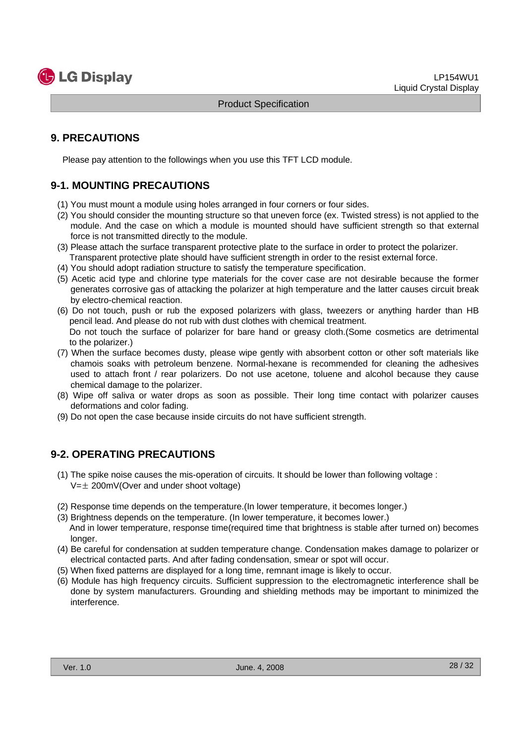

## **9. PRECAUTIONS**

Please pay attention to the followings when you use this TFT LCD module.

# **9-1. MOUNTING PRECAUTIONS**

- (1) You must mount a module using holes arranged in four corners or four sides.
- (2) You should consider the mounting structure so that uneven force (ex. Twisted stress) is not applied to the module. And the case on which a module is mounted should have sufficient strength so that external force is not transmitted directly to the module.
- (3) Please attach the surface transparent protective plate to the surface in order to protect the polarizer. Transparent protective plate should have sufficient strength in order to the resist external force.
- (4) You should adopt radiation structure to satisfy the temperature specification.
- (5) Acetic acid type and chlorine type materials for the cover case are not desirable because the former generates corrosive gas of attacking the polarizer at high temperature and the latter causes circuit break by electro-chemical reaction.
- (6) Do not touch, push or rub the exposed polarizers with glass, tweezers or anything harder than HB pencil lead. And please do not rub with dust clothes with chemical treatment. Do not touch the surface of polarizer for bare hand or greasy cloth.(Some cosmetics are detrimental
- to the polarizer.) (7) When the surface becomes dusty, please wipe gently with absorbent cotton or other soft materials like chamois soaks with petroleum benzene. Normal-hexane is recommended for cleaning the adhesives used to attach front / rear polarizers. Do not use acetone, toluene and alcohol because they cause
- chemical damage to the polarizer. (8) Wipe off saliva or water drops as soon as possible. Their long time contact with polarizer causes
- deformations and color fading.
- (9) Do not open the case because inside circuits do not have sufficient strength.

## **9-2. OPERATING PRECAUTIONS**

- (1) The spike noise causes the mis-operation of circuits. It should be lower than following voltage :  $V=\pm 200$ mV(Over and under shoot voltage)
- (2) Response time depends on the temperature.(In lower temperature, it becomes longer.)
- (3) Brightness depends on the temperature. (In lower temperature, it becomes lower.) And in lower temperature, response time(required time that brightness is stable after turned on) becomes longer.
- (4) Be careful for condensation at sudden temperature change. Condensation makes damage to polarizer or electrical contacted parts. And after fading condensation, smear or spot will occur.
- (5) When fixed patterns are displayed for a long time, remnant image is likely to occur.
- (6) Module has high frequency circuits. Sufficient suppression to the electromagnetic interference shall be done by system manufacturers. Grounding and shielding methods may be important to minimized the interference.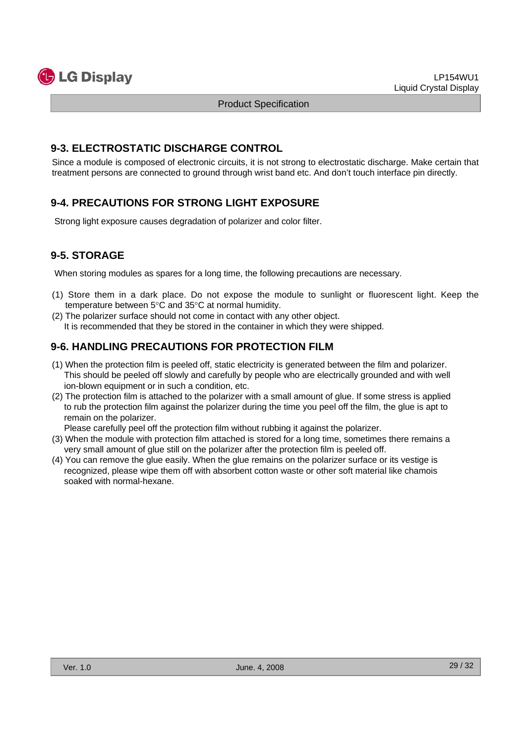

#### **9-3. ELECTROSTATIC DISCHARGE CONTROL**

Since a module is composed of electronic circuits, it is not strong to electrostatic discharge. Make certain that treatment persons are connected to ground through wrist band etc. And don't touch interface pin directly.

# **9-4. PRECAUTIONS FOR STRONG LIGHT EXPOSURE**

Strong light exposure causes degradation of polarizer and color filter.

# **9-5. STORAGE**

When storing modules as spares for a long time, the following precautions are necessary.

- (1) Store them in a dark place. Do not expose the module to sunlight or fluorescent light. Keep the temperature between 5°C and 35°C at normal humidity.
- (2) The polarizer surface should not come in contact with any other object. It is recommended that they be stored in the container in which they were shipped.

## **9-6. HANDLING PRECAUTIONS FOR PROTECTION FILM**

- (1) When the protection film is peeled off, static electricity is generated between the film and polarizer. This should be peeled off slowly and carefully by people who are electrically grounded and with well ion-blown equipment or in such a condition, etc.
- (2) The protection film is attached to the polarizer with a small amount of glue. If some stress is applied to rub the protection film against the polarizer during the time you peel off the film, the glue is apt to remain on the polarizer.

Please carefully peel off the protection film without rubbing it against the polarizer.

- (3) When the module with protection film attached is stored for a long time, sometimes there remains a very small amount of glue still on the polarizer after the protection film is peeled off.
- (4) You can remove the glue easily. When the glue remains on the polarizer surface or its vestige is recognized, please wipe them off with absorbent cotton waste or other soft material like chamois soaked with normal-hexane.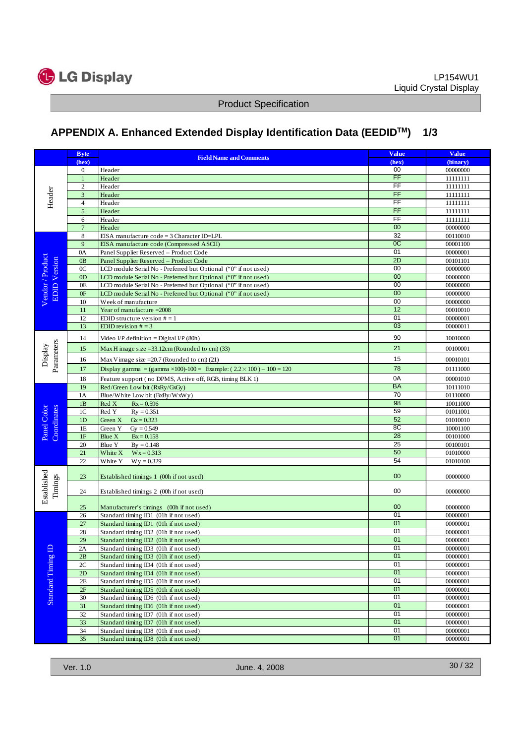

# **APPENDIX A. Enhanced Extended Display Identification Data (EEDIDTM) 1/3**

|                                         | <b>Byte</b>    |                                                                                    | <b>Value</b>             | <b>Value</b>         |
|-----------------------------------------|----------------|------------------------------------------------------------------------------------|--------------------------|----------------------|
|                                         | (hex)          | <b>Field Name and Comments</b>                                                     | (hex)                    | (binary)             |
| Header                                  | $\mathbf{0}$   | Header                                                                             | 00                       | 00000000             |
|                                         | $\mathbf{1}$   | Header                                                                             | FF                       | 11111111             |
|                                         | 2              | Header                                                                             | FF                       | 11111111             |
|                                         | 3              | Header                                                                             | $\overline{\mathsf{FF}}$ | 11111111             |
|                                         | $\overline{4}$ | Header                                                                             | FF                       | 11111111             |
|                                         | 5              | Header                                                                             | FF                       | 11111111             |
|                                         | 6              | Header                                                                             | $\overline{FF}$          | 11111111             |
|                                         | $\overline{7}$ | Header                                                                             | 00                       | 00000000             |
|                                         | 8              | EISA manufacture code = 3 Character ID=LPL                                         | 32                       | 00110010             |
|                                         | 9              | EISA manufacture code (Compressed ASCII)                                           | 0C                       | 00001100             |
|                                         | 0A             | Panel Supplier Reserved - Product Code                                             | 01                       | 00000001             |
| Vendor / Product<br><b>EDID</b> Version | 0 <sub>B</sub> | Panel Supplier Reserved - Product Code                                             | 2D                       | 00101101             |
|                                         | 0 <sup>C</sup> | LCD module Serial No - Preferred but Optional ("0" if not used)                    | 00<br>00                 | 00000000             |
|                                         | 0 <sub>D</sub> | LCD module Serial No - Preferred but Optional ("0" if not used)                    | 00                       | 00000000             |
|                                         | 0E             | LCD module Serial No - Preferred but Optional ("0" if not used)                    | 00                       | 00000000             |
|                                         | 0F             | LCD module Serial No - Preferred but Optional ("0" if not used)                    | 00                       | 00000000             |
|                                         | 10<br>11       | Week of manufacture                                                                | $\overline{12}$          | 00000000<br>00010010 |
|                                         | 12             | Year of manufacture = 2008<br>EDID structure version $# = 1$                       | 01                       | 00000001             |
|                                         | 13             | EDID revision $# = 3$                                                              | 03                       | 00000011             |
|                                         |                |                                                                                    |                          |                      |
|                                         | 14             | Video I/P definition = Digital I/P (80h)                                           | 90                       | 10010000             |
|                                         | 15             | Max H image size = $33.12$ cm (Rounded to cm) (33)                                 | 21                       | 00100001             |
| Parameters<br>Display                   | 16             | Max V image size = $20.7$ (Rounded to cm) (21)                                     | 15                       | 00010101             |
|                                         | 17             | Display gamma = (gamma $\times$ 100)-100 = Example: (2.2 $\times$ 100) – 100 = 120 | 78                       | 01111000             |
|                                         | 18             | Feature support (no DPMS, Active off, RGB, timing BLK 1)                           | 0A                       | 00001010             |
|                                         | 19             | Red/Green Low bit (RxRy/GxGy)                                                      | <b>BA</b>                | 10111010             |
|                                         | 1A             | Blue/White Low bit (BxBy/WxWy)                                                     | 70                       | 01110000             |
|                                         | 1B             | Red X<br>$Rx = 0.596$                                                              | 98                       | 10011000             |
|                                         | 1 <sup>C</sup> | Red Y<br>$Ry = 0.351$                                                              | 59                       | 01011001             |
| Coordinates<br>Panel Color              | 1D             | Green X<br>$Gx = 0.323$                                                            | 52                       | 01010010             |
|                                         | 1E             | Green Y<br>$Gy = 0.549$                                                            | 8C                       | 10001100             |
|                                         | $1\mathrm{F}$  | Blue X<br>$Bx = 0.158$                                                             | 28                       | 00101000             |
|                                         | 20             | Blue Y<br>$By = 0.148$                                                             | 25                       | 00100101             |
|                                         | 21             | White X<br>$Wx = 0.313$                                                            | 50                       | 01010000             |
|                                         | 22             | White Y<br>$Wy = 0.329$                                                            | 54                       | 01010100             |
|                                         | 23             | Established timings 1 (00h if not used)                                            | $00\,$                   | 00000000             |
| Established<br>Timings                  | 24             | Established timings 2 (00h if not used)                                            | 00                       | 00000000             |
|                                         | 25             | Manufacturer's timings (00h if not used)                                           | 00                       | 00000000             |
|                                         | 26             | Standard timing ID1 (01h if not used)                                              | 01                       | 00000001             |
|                                         | 27             | Standard timing ID1 (01h if not used)                                              | 01                       | 00000001             |
|                                         | 28             | Standard timing ID2 (01h if not used)                                              | 01                       | 00000001             |
|                                         | 29             | Standard timing ID2 (01h if not used)                                              | 01                       | 00000001             |
|                                         | 2A             | Standard timing ID3 (01h if not used)                                              | 01                       | 00000001             |
|                                         | 2B             | Standard timing ID3 (01h if not used)                                              | 01                       | 00000001             |
|                                         | 2C             | Standard timing ID4 (01h if not used)                                              | 01                       | 00000001             |
|                                         | 2D             | Standard timing ID4 (01h if not used)                                              | 01                       | 00000001             |
| Standard Timing ID                      | 2E             | Standard timing ID5 (01h if not used)                                              | 01                       | 00000001             |
|                                         | 2F             | Standard timing ID5 (01h if not used)                                              | 01                       | 00000001             |
|                                         | 30             | Standard timing ID6 (01h if not used)                                              | 01                       | 00000001             |
|                                         | 31             | Standard timing ID6 (01h if not used)                                              | 01                       | 00000001             |
|                                         | 32             | Standard timing ID7 (01h if not used)                                              | 01                       | 00000001             |
|                                         | 33             | Standard timing ID7 (01h if not used)                                              | 01                       | 00000001             |
|                                         | 34             | Standard timing ID8 (01h if not used)                                              | 01                       | 00000001             |
|                                         | 35             | Standard timing ID8 (01h if not used)                                              | 01                       | 00000001             |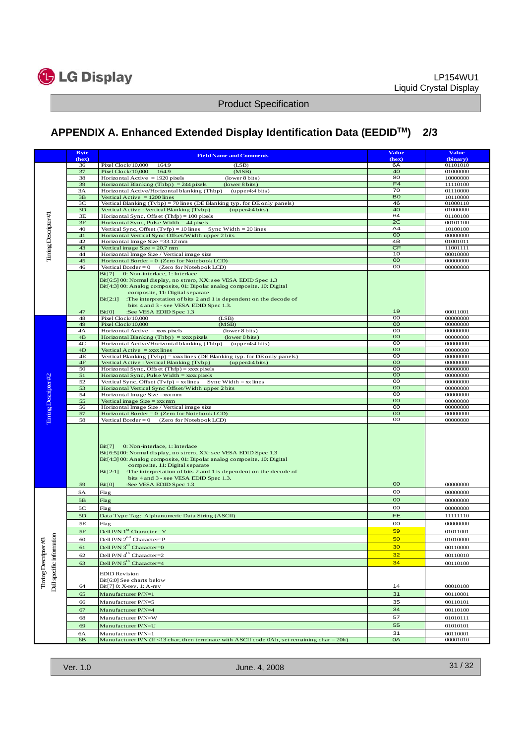

# **APPENDIX A. Enhanced Extended Display Identification Data (EEDIDTM) 2/3**

|                                                 | <b>Byte</b>   |                                                                                                                                                                                                                                                                                                                                                          | <b>Value</b>         | <b>Value</b>         |
|-------------------------------------------------|---------------|----------------------------------------------------------------------------------------------------------------------------------------------------------------------------------------------------------------------------------------------------------------------------------------------------------------------------------------------------------|----------------------|----------------------|
|                                                 | (hex)         | <b>Field Name and Comments</b>                                                                                                                                                                                                                                                                                                                           | (hex)                | (binary)             |
|                                                 | 36            | Pixel Clock/10,000<br>164.9<br>(LSB)                                                                                                                                                                                                                                                                                                                     | 6A                   | 01101010             |
|                                                 | 37            | Pixel Clock/10,000<br>164.9<br>(MSB)                                                                                                                                                                                                                                                                                                                     | 40                   | 01000000             |
|                                                 | 38            | Horizontal Active $= 1920$ pixels<br>(lower 8 bits)                                                                                                                                                                                                                                                                                                      | 80                   | 10000000             |
|                                                 | 39            | Horizontal Blanking (Thbp) = $244$ pixels<br>(lower 8 bits)                                                                                                                                                                                                                                                                                              | F4                   | 11110100             |
|                                                 | 3A            | Horizontal Active/Horizontal blanking (Thbp)<br>(upper4:4 bits)                                                                                                                                                                                                                                                                                          | 70                   | 01110000             |
|                                                 | 3B<br>3C      | Vertical Active $= 1200$ lines<br>Vertical Blanking (Tybp) = 70 lines (DE Blanking typ. for DE only panels)                                                                                                                                                                                                                                              | B <sub>0</sub><br>46 | 10110000<br>01000110 |
|                                                 | 3D            | Vertical Active: Vertical Blanking (Tvbp)<br>(upper4:4 bits)                                                                                                                                                                                                                                                                                             | 40                   | 01000000             |
|                                                 | 3E            | Horizontal Sync, Offset $(Thfp) = 100$ pixels                                                                                                                                                                                                                                                                                                            | 64                   | 01100100             |
|                                                 | 3F            | Horizontal Sync, Pulse Width $=$ 44 pixels                                                                                                                                                                                                                                                                                                               | 2C                   | 00101100             |
|                                                 | 40            | Vertical Sync, Offset $(Tvfp) = 10$ lines Sync Width = 20 lines                                                                                                                                                                                                                                                                                          | A4                   | 10100100             |
|                                                 | 41            | Horizontal Vertical Sync Offset/Width upper 2 bits                                                                                                                                                                                                                                                                                                       | 00                   | 00000000             |
| Tining Descripter#1                             | 42            | Horizontal Image Size = 33.12 mm                                                                                                                                                                                                                                                                                                                         | 4B                   | 01001011             |
|                                                 | 43            | Vertical image $Size = 20.7$ mm                                                                                                                                                                                                                                                                                                                          | CF                   | 11001111             |
|                                                 | 44<br>45      | Horizontal Image Size / Vertical image size<br>Horizontal Border = $0$ (Zero for Notebook LCD)                                                                                                                                                                                                                                                           | 10<br>00             | 00010000             |
|                                                 | 46            | Vertical Border = $0$ (Zero for Notebook LCD)                                                                                                                                                                                                                                                                                                            | oo                   | 00000000<br>00000000 |
|                                                 |               | 0: Non-interlace, 1: Interlace<br>Bit[7]                                                                                                                                                                                                                                                                                                                 |                      |                      |
|                                                 |               | Bit[6:5] 00: Normal display, no strero, XX: see VESA EDID Spec 1.3                                                                                                                                                                                                                                                                                       |                      |                      |
|                                                 |               | Bit[4:3] 00: Analog composite, 01: Bipolar analog composite, 10: Digital                                                                                                                                                                                                                                                                                 |                      |                      |
|                                                 |               | composite, 11: Digital separate                                                                                                                                                                                                                                                                                                                          |                      |                      |
|                                                 |               | Bit[2:1]<br>The interpretation of bits 2 and 1 is dependent on the decode of                                                                                                                                                                                                                                                                             |                      |                      |
|                                                 |               | bits 4 and 3 - see VESA EDID Spec 1.3.                                                                                                                                                                                                                                                                                                                   |                      |                      |
|                                                 | 47            | :See VESA EDID Spec 1.3<br>Bit[0]                                                                                                                                                                                                                                                                                                                        | 19<br>00             | 00011001             |
|                                                 | 48<br>49      | Pixel Clock/10,000<br>(LSB)<br>Pixel Clock/10,000<br>(MSB)                                                                                                                                                                                                                                                                                               | 00                   | 00000000<br>00000000 |
|                                                 | 4A            | Horizontal Active $=$ xxx pixels<br>(lower 8 bits)                                                                                                                                                                                                                                                                                                       | oo                   | 00000000             |
|                                                 | 4B            | Horizontal Blanking (Thbp) = $xxxx$ pixels<br>(lower 8 bits)                                                                                                                                                                                                                                                                                             | 00                   | 00000000             |
|                                                 | 4C            | Horizontal Active/Horizontal blanking (Thbp)<br>(upper4:4 bits)                                                                                                                                                                                                                                                                                          | oo                   | 00000000             |
|                                                 | 4D            | Vertical $Active = xxx lines$                                                                                                                                                                                                                                                                                                                            | 00                   | 00000000             |
|                                                 | 4E            | Vertical Blanking (Tvbp) = xxxx lines (DE Blanking typ. for DE only panels)                                                                                                                                                                                                                                                                              | oo                   | 00000000             |
|                                                 | 4F            | Vertical Active: Vertical Blanking (Tvbp)<br>(upper4:4 bits)                                                                                                                                                                                                                                                                                             | 00                   | 00000000             |
|                                                 | 50            | Horizontal Sync, Offset $(Thfp) =$ xxx pixels                                                                                                                                                                                                                                                                                                            | oo                   | 00000000             |
|                                                 | 51            | Horizontal Sync, Pulse Width $=$ xxx pixels                                                                                                                                                                                                                                                                                                              | 00<br>oo             | 00000000             |
|                                                 | 52<br>53      | Vertical Sync, Offset (Tvfp) = xx lines<br>Sync Width $=$ xx lines<br>Horizontal Vertical Sync Offset/Width upper 2 bits                                                                                                                                                                                                                                 | 00                   | 00000000<br>00000000 |
|                                                 | 54            | Horizontal Image Size = xxx mm                                                                                                                                                                                                                                                                                                                           | oo                   | 00000000             |
|                                                 | 55            | Vertical image $Size = xxx$ mm                                                                                                                                                                                                                                                                                                                           | 00                   | 00000000             |
|                                                 | 56            | Horizontal Image Size / Vertical image size                                                                                                                                                                                                                                                                                                              | oo                   | 00000000             |
|                                                 | 57            | Horizontal Border = 0 (Zero for Notebook LCD)                                                                                                                                                                                                                                                                                                            | 00                   | 00000000             |
| Tining Descripter #2                            | 58            | Vertical Border = $0$ (Zero for Notebook LCD)                                                                                                                                                                                                                                                                                                            | 00                   | 00000000             |
|                                                 |               | Bit[7]<br>0: Non-interlace, 1: Interlace<br>Bit[6:5] 00: Normal display, no strero, XX: see VESA EDID Spec 1.3<br>Bit[4:3] 00: Analog composite, 01: Bipolar analog composite, 10: Digital<br>composite, 11: Digital separate<br>Bit[2:1]<br>:The interpretation of bits 2 and 1 is dependent on the decode of<br>bits 4 and 3 - see VESA EDID Spec 1.3. |                      |                      |
|                                                 | 59            | Bit[0]<br>:See VESA EDID Spec 1.3                                                                                                                                                                                                                                                                                                                        | 00                   | 00000000             |
|                                                 | 5A            | Flag                                                                                                                                                                                                                                                                                                                                                     | oo                   | 00000000             |
|                                                 | 5B            | Flag                                                                                                                                                                                                                                                                                                                                                     | <b>OO</b>            | 00000000             |
|                                                 | 5C            | Flag                                                                                                                                                                                                                                                                                                                                                     | oo                   | 00000000             |
|                                                 | $5\mathrm{D}$ | Data Type Tag: Alphanumeric Data String (ASCII)                                                                                                                                                                                                                                                                                                          | <b>FE</b>            | 11111110             |
|                                                 | 5Ε            | Flag                                                                                                                                                                                                                                                                                                                                                     | oo                   | 00000000             |
|                                                 | 5F            | Dell P/N $1st$ Character = Y                                                                                                                                                                                                                                                                                                                             | 59                   | 01011001             |
|                                                 | 60            | Dell P/N 2 <sup>nd</sup> Character=P                                                                                                                                                                                                                                                                                                                     | 50                   | 01010000             |
| Ë,                                              |               |                                                                                                                                                                                                                                                                                                                                                          |                      |                      |
|                                                 | 61            | Dell P/N 3 <sup>rd</sup> Character=0                                                                                                                                                                                                                                                                                                                     | 30 <sub>o</sub>      | 00110000             |
|                                                 | 62            | Dell P/N 4 <sup>th</sup> Character=2                                                                                                                                                                                                                                                                                                                     | 32                   | 00110010             |
|                                                 | 63            | Dell P/N 5 <sup>th</sup> Character=4                                                                                                                                                                                                                                                                                                                     | 34                   | 00110100             |
| Dell specific information<br>Timing Descripter# | 64            | <b>EDID</b> Revision<br>Bit[6:0] See charts below<br>Bit[7] 0: X-rev, 1: A-rev                                                                                                                                                                                                                                                                           | 14                   | 00010100             |
|                                                 | 65            | Manufacturer P/N=1                                                                                                                                                                                                                                                                                                                                       | 31                   | 00110001             |
|                                                 | 66            | Manufacturer P/N=5                                                                                                                                                                                                                                                                                                                                       | 35                   | 00110101             |
|                                                 | 67            | Manufacturer P/N=4                                                                                                                                                                                                                                                                                                                                       | 34                   | 00110100             |
|                                                 | 68            | Manufacturer P/N=W                                                                                                                                                                                                                                                                                                                                       | 57                   | 01010111             |
|                                                 | 69            | Manufacturer P/N=U                                                                                                                                                                                                                                                                                                                                       | 55                   | 01010101             |
|                                                 | 6A            | Manufacturer P/N=1                                                                                                                                                                                                                                                                                                                                       | 31                   | 00110001             |
|                                                 | $6B$          | Manufacturer P/N (If <13 char, then terminate with ASCII code 0Ah, set remaining char = 20h)                                                                                                                                                                                                                                                             | 0A                   | 00001010             |
|                                                 |               |                                                                                                                                                                                                                                                                                                                                                          |                      |                      |